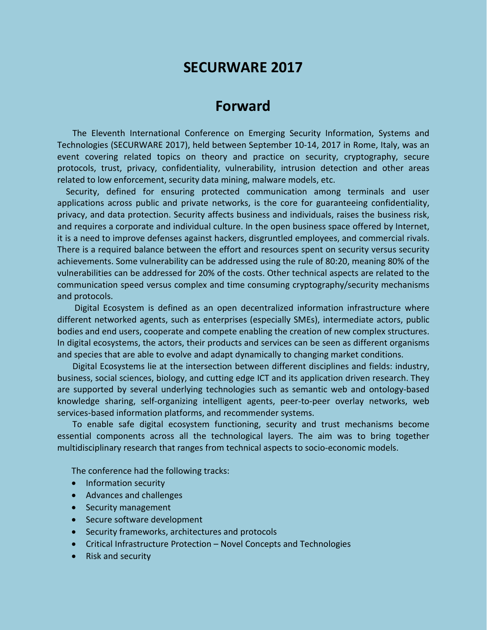## **SECURWARE 2017**

# **Forward**

The Eleventh International Conference on Emerging Security Information, Systems and Technologies (SECURWARE 2017), held between September 10-14, 2017 in Rome, Italy, was an event covering related topics on theory and practice on security, cryptography, secure protocols, trust, privacy, confidentiality, vulnerability, intrusion detection and other areas related to low enforcement, security data mining, malware models, etc.

Security, defined for ensuring protected communication among terminals and user applications across public and private networks, is the core for guaranteeing confidentiality, privacy, and data protection. Security affects business and individuals, raises the business risk, and requires a corporate and individual culture. In the open business space offered by Internet, it is a need to improve defenses against hackers, disgruntled employees, and commercial rivals. There is a required balance between the effort and resources spent on security versus security achievements. Some vulnerability can be addressed using the rule of 80:20, meaning 80% of the vulnerabilities can be addressed for 20% of the costs. Other technical aspects are related to the communication speed versus complex and time consuming cryptography/security mechanisms and protocols.

Digital Ecosystem is defined as an open decentralized information infrastructure where different networked agents, such as enterprises (especially SMEs), intermediate actors, public bodies and end users, cooperate and compete enabling the creation of new complex structures. In digital ecosystems, the actors, their products and services can be seen as different organisms and species that are able to evolve and adapt dynamically to changing market conditions.

Digital Ecosystems lie at the intersection between different disciplines and fields: industry, business, social sciences, biology, and cutting edge ICT and its application driven research. They are supported by several underlying technologies such as semantic web and ontology-based knowledge sharing, self-organizing intelligent agents, peer-to-peer overlay networks, web services-based information platforms, and recommender systems.

To enable safe digital ecosystem functioning, security and trust mechanisms become essential components across all the technological layers. The aim was to bring together multidisciplinary research that ranges from technical aspects to socio-economic models.

The conference had the following tracks:

- Information security
- Advances and challenges
- Security management
- Secure software development
- Security frameworks, architectures and protocols
- Critical Infrastructure Protection Novel Concepts and Technologies
- Risk and security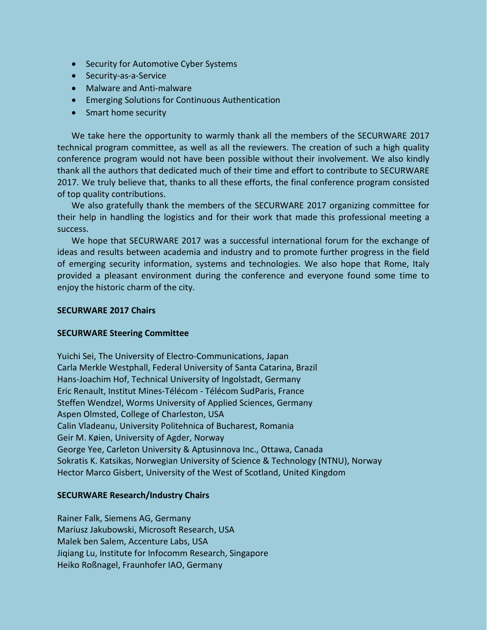- Security for Automotive Cyber Systems
- Security-as-a-Service
- Malware and Anti-malware
- Emerging Solutions for Continuous Authentication
- Smart home security

We take here the opportunity to warmly thank all the members of the SECURWARE 2017 technical program committee, as well as all the reviewers. The creation of such a high quality conference program would not have been possible without their involvement. We also kindly thank all the authors that dedicated much of their time and effort to contribute to SECURWARE 2017. We truly believe that, thanks to all these efforts, the final conference program consisted of top quality contributions.

We also gratefully thank the members of the SECURWARE 2017 organizing committee for their help in handling the logistics and for their work that made this professional meeting a success.

We hope that SECURWARE 2017 was a successful international forum for the exchange of ideas and results between academia and industry and to promote further progress in the field of emerging security information, systems and technologies. We also hope that Rome, Italy provided a pleasant environment during the conference and everyone found some time to enjoy the historic charm of the city.

#### **SECURWARE 2017 Chairs**

## **SECURWARE Steering Committee**

Yuichi Sei, The University of Electro-Communications, Japan Carla Merkle Westphall, Federal University of Santa Catarina, Brazil Hans-Joachim Hof, Technical University of Ingolstadt, Germany Eric Renault, Institut Mines-Télécom - Télécom SudParis, France Steffen Wendzel, Worms University of Applied Sciences, Germany Aspen Olmsted, College of Charleston, USA Calin Vladeanu, University Politehnica of Bucharest, Romania Geir M. Køien, University of Agder, Norway George Yee, Carleton University & Aptusinnova Inc., Ottawa, Canada Sokratis K. Katsikas, Norwegian University of Science & Technology (NTNU), Norway Hector Marco Gisbert, University of the West of Scotland, United Kingdom

## **SECURWARE Research/Industry Chairs**

Rainer Falk, Siemens AG, Germany Mariusz Jakubowski, Microsoft Research, USA Malek ben Salem, Accenture Labs, USA Jiqiang Lu, Institute for Infocomm Research, Singapore Heiko Roßnagel, Fraunhofer IAO, Germany